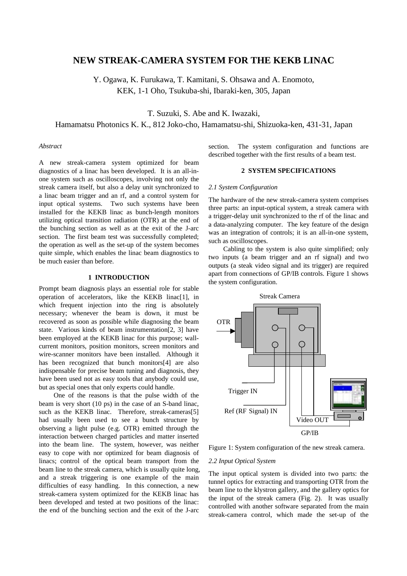# **NEW STREAK-CAMERA SYSTEM FOR THE KEKB LINAC**

Y. Ogawa, K. Furukawa, T. Kamitani, S. Ohsawa and A. Enomoto, KEK, 1-1 Oho, Tsukuba-shi, Ibaraki-ken, 305, Japan

T. Suzuki, S. Abe and K. Iwazaki,

Hamamatsu Photonics K. K., 812 Joko-cho, Hamamatsu-shi, Shizuoka-ken, 431-31, Japan

# *Abstract*

A new streak-camera system optimized for beam diagnostics of a linac has been developed. It is an all-inone system such as oscilloscopes, involving not only the streak camera itself, but also a delay unit synchronized to a linac beam trigger and an rf, and a control system for input optical systems. Two such systems have been installed for the KEKB linac as bunch-length monitors utilizing optical transition radiation (OTR) at the end of the bunching section as well as at the exit of the J-arc section. The first beam test was successfully completed; the operation as well as the set-up of the system becomes quite simple, which enables the linac beam diagnostics to be much easier than before.

## **1 INTRODUCTION**

Prompt beam diagnosis plays an essential role for stable operation of accelerators, like the KEKB linac[1], in which frequent injection into the ring is absolutely necessary; whenever the beam is down, it must be recovered as soon as possible while diagnosing the beam state. Various kinds of beam instrumentation[2, 3] have been employed at the KEKB linac for this purpose; wallcurrent monitors, position monitors, screen monitors and wire-scanner monitors have been installed. Although it has been recognized that bunch monitors[4] are also indispensable for precise beam tuning and diagnosis, they have been used not as easy tools that anybody could use, but as special ones that only experts could handle.

One of the reasons is that the pulse width of the beam is very short (10 ps) in the case of an S-band linac, such as the KEKB linac. Therefore, streak-cameras[5] had usually been used to see a bunch structure by observing a light pulse (e.g. OTR) emitted through the interaction between charged particles and matter inserted into the beam line. The system, however, was neither easy to cope with nor optimized for beam diagnosis of linacs; control of the optical beam transport from the beam line to the streak camera, which is usually quite long, and a streak triggering is one example of the main difficulties of easy handling. In this connection, a new streak-camera system optimized for the KEKB linac has been developed and tested at two positions of the linac: the end of the bunching section and the exit of the J-arc

section. The system configuration and functions are described together with the first results of a beam test.

## **2 SYSTEM SPECIFICATIONS**

#### *2.1 System Configuration*

The hardware of the new streak-camera system comprises three parts: an input-optical system, a streak camera with a trigger-delay unit synchronized to the rf of the linac and a data-analyzing computer. The key feature of the design was an integration of controls; it is an all-in-one system, such as oscilloscopes.

Cabling to the system is also quite simplified; only two inputs (a beam trigger and an rf signal) and two outputs (a steak video signal and its trigger) are required apart from connections of GP/IB controls. Figure 1 shows the system configuration.



Figure 1: System configuration of the new streak camera.

## *2.2 Input Optical System*

The input optical system is divided into two parts: the tunnel optics for extracting and transporting OTR from the beam line to the klystron gallery, and the gallery optics for the input of the streak camera (Fig. 2). It was usually controlled with another software separated from the main streak-camera control, which made the set-up of the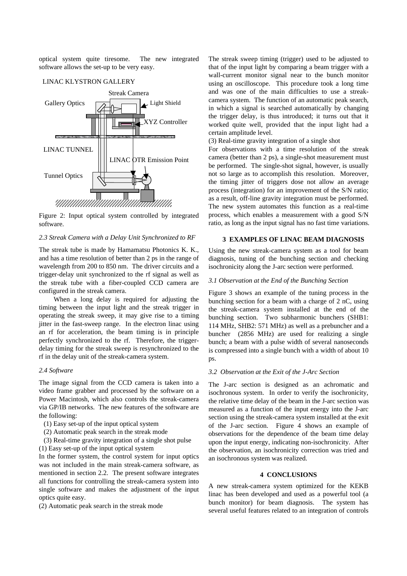optical system quite tiresome. The new integrated software allows the set-up to be very easy.



#### LINAC KLYSTRON GALLERY

Figure 2: Input optical system controlled by integrated software.

## *2.3 Streak Camera with a Delay Unit Synchronized to RF*

The streak tube is made by Hamamatsu Photonics K. K., and has a time resolution of better than 2 ps in the range of wavelength from 200 to 850 nm. The driver circuits and a trigger-delay unit synchronized to the rf signal as well as the streak tube with a fiber-coupled CCD camera are configured in the streak camera.

When a long delay is required for adjusting the timing between the input light and the streak trigger in operating the streak sweep, it may give rise to a timing jitter in the fast-sweep range. In the electron linac using an rf for acceleration, the beam timing is in principle perfectly synchronized to the rf. Therefore, the triggerdelay timing for the streak sweep is resynchronized to the rf in the delay unit of the streak-camera system.

#### *2.4 Software*

The image signal from the CCD camera is taken into a video frame grabber and processed by the software on a Power Macintosh, which also controls the streak-camera via GP/IB networks. The new features of the software are the following:

- (1) Easy set-up of the input optical system
- (2) Automatic peak search in the streak mode
- (3) Real-time gravity integration of a single shot pulse
- (1) Easy set-up of the input optical system

In the former system, the control system for input optics was not included in the main streak-camera software, as mentioned in section 2.2. The present software integrates all functions for controlling the streak-camera system into single software and makes the adjustment of the input optics quite easy.

(2) Automatic peak search in the streak mode

The streak sweep timing (trigger) used to be adjusted to that of the input light by comparing a beam trigger with a wall-current monitor signal near to the bunch monitor using an oscilloscope. This procedure took a long time and was one of the main difficulties to use a streakcamera system. The function of an automatic peak search, in which a signal is searched automatically by changing the trigger delay, is thus introduced; it turns out that it worked quite well, provided that the input light had a certain amplitude level.

(3) Real-time gravity integration of a single shot

For observations with a time resolution of the streak camera (better than 2 ps), a single-shot measurement must be performed. The single-shot signal, however, is usually not so large as to accomplish this resolution. Moreover, the timing jitter of triggers dose not allow an average process (integration) for an improvement of the S/N ratio; as a result, off-line gravity integration must be performed. The new system automates this function as a real-time process, which enables a measurement with a good S/N ratio, as long as the input signal has no fast time variations.

#### **3 EXAMPLES OF LINAC BEAM DIAGNOSIS**

Using the new streak-camera system as a tool for beam diagnosis, tuning of the bunching section and checking isochronicity along the J-arc section were performed.

# *3.1 Observation at the End of the Bunching Section*

Figure 3 shows an example of the tuning process in the bunching section for a beam with a charge of 2 nC, using the streak-camera system installed at the end of the bunching section. Two subharmonic bunchers (SHB1: 114 MHz, SHB2: 571 MHz) as well as a prebuncher and a buncher (2856 MHz) are used for realizing a single bunch; a beam with a pulse width of several nanoseconds is compressed into a single bunch with a width of about 10 ps.

#### *3.2 Observation at the Exit of the J-Arc Section*

The J-arc section is designed as an achromatic and isochronous system. In order to verify the isochronicity, the relative time delay of the beam in the J-arc section was measured as a function of the input energy into the J-arc section using the streak-camera system installed at the exit of the J-arc section. Figure 4 shows an example of observations for the dependence of the beam time delay upon the input energy, indicating non-isochronicity. After the observation, an isochronicity correction was tried and an isochronous system was realized.

## **4 CONCLUSIONS**

A new streak-camera system optimized for the KEKB linac has been developed and used as a powerful tool (a bunch monitor) for beam diagnosis. The system has several useful features related to an integration of controls